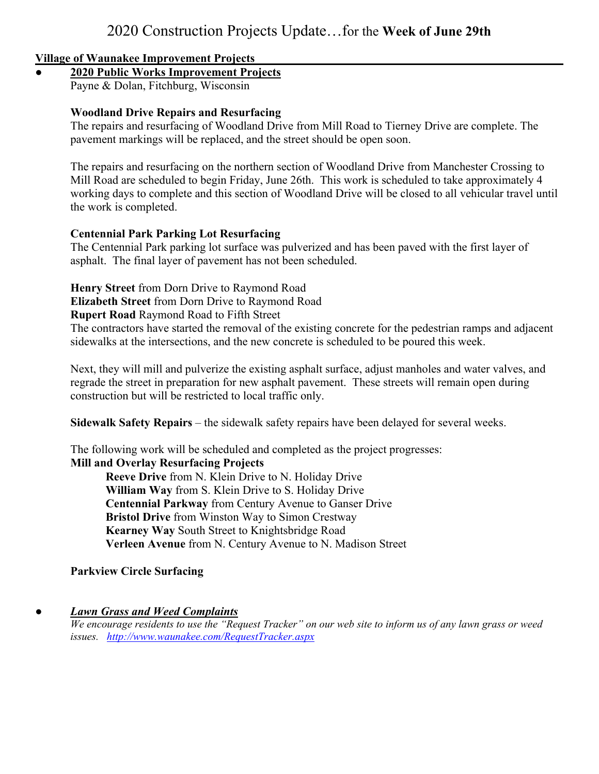### **Village of Waunakee Improvement Projects**

## **● 2020 Public Works Improvement Projects**

Payne & Dolan, Fitchburg, Wisconsin

## **Woodland Drive Repairs and Resurfacing**

The repairs and resurfacing of Woodland Drive from Mill Road to Tierney Drive are complete. The pavement markings will be replaced, and the street should be open soon.

The repairs and resurfacing on the northern section of Woodland Drive from Manchester Crossing to Mill Road are scheduled to begin Friday, June 26th. This work is scheduled to take approximately 4 working days to complete and this section of Woodland Drive will be closed to all vehicular travel until the work is completed.

### **Centennial Park Parking Lot Resurfacing**

The Centennial Park parking lot surface was pulverized and has been paved with the first layer of asphalt. The final layer of pavement has not been scheduled.

**Henry Street** from Dorn Drive to Raymond Road

**Elizabeth Street** from Dorn Drive to Raymond Road

### **Rupert Road** Raymond Road to Fifth Street

The contractors have started the removal of the existing concrete for the pedestrian ramps and adjacent sidewalks at the intersections, and the new concrete is scheduled to be poured this week.

Next, they will mill and pulverize the existing asphalt surface, adjust manholes and water valves, and regrade the street in preparation for new asphalt pavement. These streets will remain open during construction but will be restricted to local traffic only.

**Sidewalk Safety Repairs** – the sidewalk safety repairs have been delayed for several weeks.

The following work will be scheduled and completed as the project progresses: **Mill and Overlay Resurfacing Projects**

**Reeve Drive** from N. Klein Drive to N. Holiday Drive **William Way** from S. Klein Drive to S. Holiday Drive **Centennial Parkway** from Century Avenue to Ganser Drive **Bristol Drive** from Winston Way to Simon Crestway **Kearney Way** South Street to Knightsbridge Road **Verleen Avenue** from N. Century Avenue to N. Madison Street

**Parkview Circle Surfacing** 

# *● Lawn Grass and Weed Complaints*

*We encourage residents to use the "Request Tracker" on our web site to inform us of any lawn grass or weed issues. http://www.waunakee.com/RequestTracker.aspx*